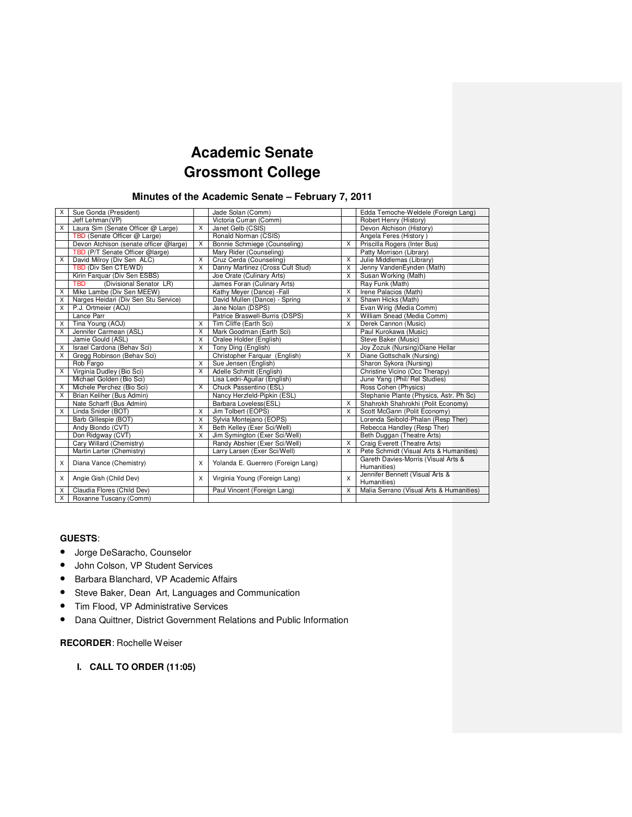# **Academic Senate Grossmont College**

# **Minutes of the Academic Senate – February 7, 2011**

| X | Sue Gonda (President)                  |              | Jade Solan (Comm)                  |          | Edda Temoche-Weldele (Foreign Lang)                |
|---|----------------------------------------|--------------|------------------------------------|----------|----------------------------------------------------|
|   | Jeff Lehman(VP)                        |              | Victoria Curran (Comm)             |          | Robert Henry (History)                             |
| X | Laura Sim (Senate Officer @ Large)     | X            | Janet Gelb (CSIS)                  |          | Devon Atchison (History)                           |
|   | TBD (Senate Officer @ Large)           |              | Ronald Norman (CSIS)               |          | Angela Feres (History)                             |
|   | Devon Atchison (senate officer @large) | X            | Bonnie Schmiege (Counseling)       | X        | Priscilla Rogers (Inter Bus)                       |
|   | TBD (P/T Senate Officer @large)        |              | Mary Rider (Counseling)            |          | Patty Morrison (Library)                           |
| X | David Milroy (Div Sen ALC)             | X            | Cruz Cerda (Counseling)            | X        | Julie Middlemas (Library)                          |
|   | TBD (Div Sen CTE/WD)                   | $\mathsf{x}$ | Danny Martinez (Cross Cult Stud)   | X        | Jenny VandenEynden (Math)                          |
|   | Kirin Farquar (Div Sen ESBS)           |              | Joe Orate (Culinary Arts)          | X        | Susan Working (Math)                               |
|   | (Divisional Senator LR)<br><b>TBD</b>  |              | James Foran (Culinary Arts)        |          | Ray Funk (Math)                                    |
| X | Mike Lambe (Div Sen MEEW)              |              | Kathy Meyer (Dance) - Fall         | X        | Irene Palacios (Math)                              |
| X | Narges Heidari (Div Sen Stu Service)   |              | David Mullen (Dance) - Spring      | $\times$ | Shawn Hicks (Math)                                 |
| X | P.J. Ortmeier (AOJ)                    |              | Jane Nolan (DSPS)                  |          | Evan Wirig (Media Comm)                            |
|   | Lance Parr                             |              | Patrice Braswell-Burris (DSPS)     | X        | William Snead (Media Comm)                         |
| X | Tina Young (AOJ)                       | X            | Tim Cliffe (Earth Sci)             | $\times$ | Derek Cannon (Music)                               |
| X | Jennifer Carmean (ASL)                 | $\times$     | Mark Goodman (Earth Sci)           |          | Paul Kurokawa (Music)                              |
|   | Jamie Gould (ASL)                      | $\mathsf{x}$ | Oralee Holder (English)            |          | Steve Baker (Music)                                |
| X | Israel Cardona (Behav Sci)             | X            | Tony Ding (English)                |          | Joy Zozuk (Nursing) Diane Hellar                   |
| X | Gregg Robinson (Behav Sci)             |              | Christopher Farquar (English)      | X        | Diane Gottschalk (Nursing)                         |
|   | Rob Fargo                              | X            | Sue Jensen (English)               |          | Sharon Sykora (Nursing)                            |
| X | Virginia Dudley (Bio Sci)              | X            | Adelle Schmitt (English)           |          | Christine Vicino (Occ Therapy)                     |
|   | Michael Golden (Bio Sci)               |              | Lisa Ledri-Aguilar (English)       |          | June Yang (Phil/ Rel Studies)                      |
| X | Michele Perchez (Bio Sci)              | X            | Chuck Passentino (ESL)             |          | Ross Cohen (Physics)                               |
| X | Brian Keliher (Bus Admin)              |              | Nancy Herzfeld-Pipkin (ESL)        |          | Stephanie Plante (Physics, Astr. Ph Sc)            |
|   | Nate Scharff (Bus Admin)               |              | Barbara Loveless (ESL)             | X        | Shahrokh Shahrokhi (Polit Economy)                 |
| X | Linda Snider (BOT)                     | X            | Jim Tolbert (EOPS)                 | X        | Scott McGann (Polit Economy)                       |
|   | Barb Gillespie (BOT)                   | X            | Sylvia Montejano (EOPS)            |          | Lorenda Seibold-Phalan (Resp Ther)                 |
|   | Andy Biondo (CVT)                      | X            | Beth Kelley (Exer Sci/Well)        |          | Rebecca Handley (Resp Ther)                        |
|   | Don Ridgway (CVT)                      | X            | Jim Symington (Exer Sci/Well)      |          | Beth Duggan (Theatre Arts)                         |
|   | Cary Willard (Chemistry)               |              | Randy Abshier (Exer Sci/Well)      | X        | Craig Everett (Theatre Arts)                       |
|   | Martin Larter (Chemistry)              |              | Larry Larsen (Exer Sci/Well)       | X        | Pete Schmidt (Visual Arts & Humanities)            |
| X | Diana Vance (Chemistry)                | X            | Yolanda E. Guerrero (Foreign Lang) |          | Gareth Davies-Morris (Visual Arts &<br>Humanities) |
| X | Angie Gish (Child Dev)                 | X            | Virginia Young (Foreign Lang)      | X        | Jennifer Bennett (Visual Arts &<br>Humanities)     |
| X | Claudia Flores (Child Dev)             |              | Paul Vincent (Foreign Lang)        | X        | Malia Serrano (Visual Arts & Humanities)           |
| X | Roxanne Tuscany (Comm)                 |              |                                    |          |                                                    |

### **GUESTS**:

- Jorge DeSaracho, Counselor
- John Colson, VP Student Services
- Barbara Blanchard, VP Academic Affairs
- Steve Baker, Dean Art, Languages and Communication
- Tim Flood, VP Administrative Services
- Dana Quittner, District Government Relations and Public Information

### **RECORDER**: Rochelle Weiser

**I. CALL TO ORDER (11:05)**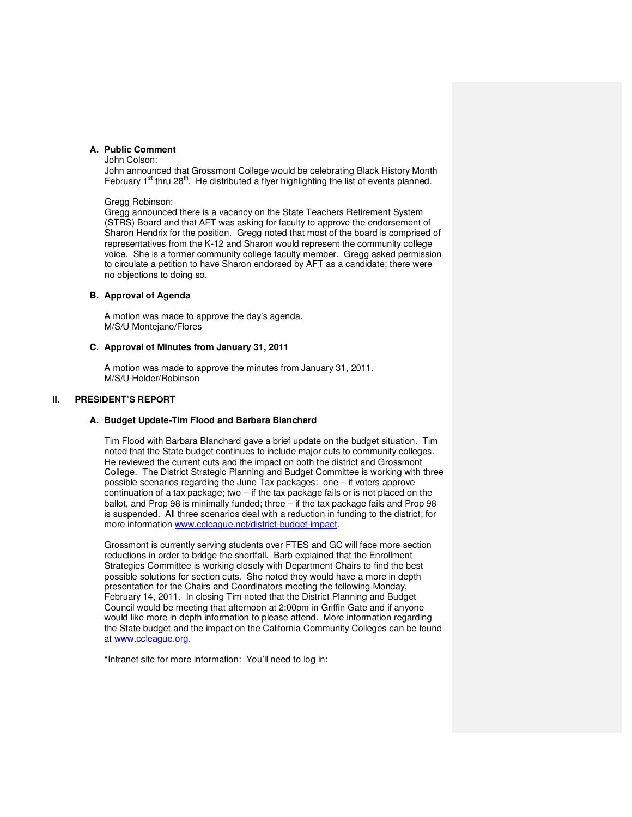### **A. Public Comment**

John Colson:

John announced that Grossmont College would be celebrating Black History Month February  $1<sup>st</sup>$  thru 28<sup>th</sup>. He distributed a flyer highlighting the list of events planned.

#### Gregg Robinson:

Gregg announced there is a vacancy on the State Teachers Retirement System (STRS) Board and that AFT was asking for faculty to approve the endorsement of Sharon Hendrix for the position. Gregg noted that most of the board is comprised of representatives from the K-12 and Sharon would represent the community college voice. She is a former community college faculty member. Gregg asked permission to circulate a petition to have Sharon endorsed by AFT as a candidate; there were no objections to doing so.

### **B. Approval of Agenda**

A motion was made to approve the day's agenda. M/S/U Montejano/Flores

#### **C. Approval of Minutes from January 31, 2011**

A motion was made to approve the minutes from January 31, 2011. M/S/U Holder/Robinson

## **II. PRESIDENT'S REPORT**

### **A. Budget Update-Tim Flood and Barbara Blanchard**

Tim Flood with Barbara Blanchard gave a brief update on the budget situation. Tim noted that the State budget continues to include major cuts to community colleges. He reviewed the current cuts and the impact on both the district and Grossmont College. The District Strategic Planning and Budget Committee is working with three possible scenarios regarding the June Tax packages: one – if voters approve continuation of a tax package; two – if the tax package fails or is not placed on the ballot, and Prop 98 is minimally funded; three – if the tax package fails and Prop 98 is suspended. All three scenarios deal with a reduction in funding to the district; for more information www.ccleague.net/district-budget-impact.

Grossmont is currently serving students over FTES and GC will face more section reductions in order to bridge the shortfall. Barb explained that the Enrollment Strategies Committee is working closely with Department Chairs to find the best possible solutions for section cuts. She noted they would have a more in depth presentation for the Chairs and Coordinators meeting the following Monday, February 14, 2011. In closing Tim noted that the District Planning and Budget Council would be meeting that afternoon at 2:00pm in Griffin Gate and if anyone would like more in depth information to please attend. More information regarding the State budget and the impact on the California Community Colleges can be found at www.ccleague.org.

\*Intranet site for more information: You'll need to log in: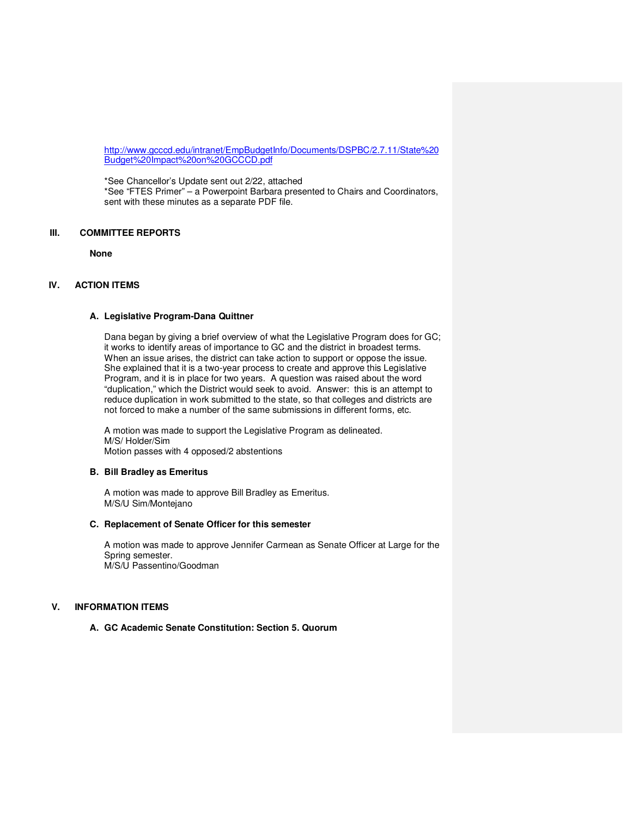http://www.gcccd.edu/intranet/EmpBudgetInfo/Documents/DSPBC/2.7.11/State%20 Budget%20Impact%20on%20GCCCD.pdf

\*See Chancellor's Update sent out 2/22, attached \*See "FTES Primer" – a Powerpoint Barbara presented to Chairs and Coordinators, sent with these minutes as a separate PDF file.

# **III. COMMITTEE REPORTS**

**None**

# **IV. ACTION ITEMS**

### **A. Legislative Program-Dana Quittner**

Dana began by giving a brief overview of what the Legislative Program does for GC; it works to identify areas of importance to GC and the district in broadest terms. When an issue arises, the district can take action to support or oppose the issue. She explained that it is a two-year process to create and approve this Legislative Program, and it is in place for two years. A question was raised about the word "duplication," which the District would seek to avoid. Answer: this is an attempt to reduce duplication in work submitted to the state, so that colleges and districts are not forced to make a number of the same submissions in different forms, etc.

A motion was made to support the Legislative Program as delineated. M/S/ Holder/Sim Motion passes with 4 opposed/2 abstentions

### **B. Bill Bradley as Emeritus**

A motion was made to approve Bill Bradley as Emeritus. M/S/U Sim/Montejano

# **C. Replacement of Senate Officer for this semester**

A motion was made to approve Jennifer Carmean as Senate Officer at Large for the Spring semester. M/S/U Passentino/Goodman

## **V. INFORMATION ITEMS**

### **A. GC Academic Senate Constitution: Section 5. Quorum**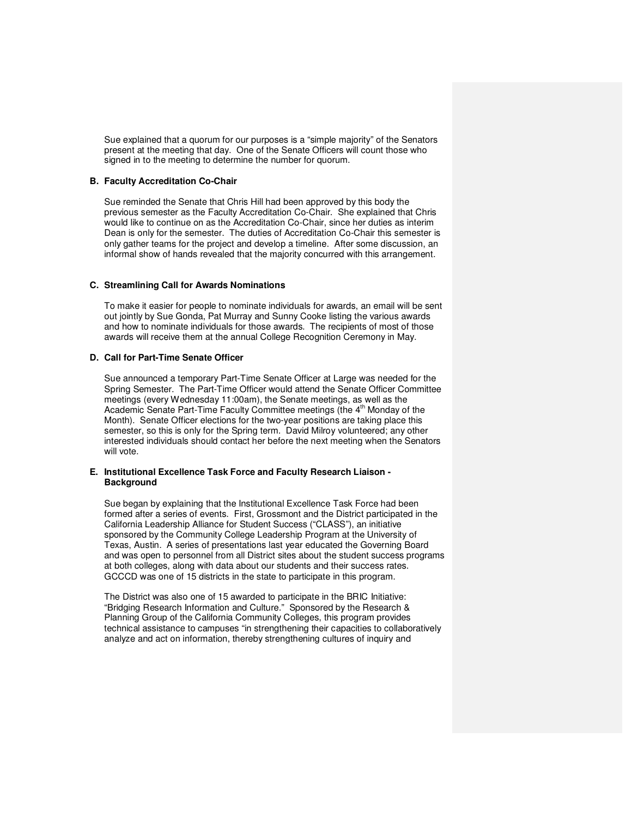Sue explained that a quorum for our purposes is a "simple majority" of the Senators present at the meeting that day. One of the Senate Officers will count those who signed in to the meeting to determine the number for quorum.

#### **B. Faculty Accreditation Co-Chair**

Sue reminded the Senate that Chris Hill had been approved by this body the previous semester as the Faculty Accreditation Co-Chair. She explained that Chris would like to continue on as the Accreditation Co-Chair, since her duties as interim Dean is only for the semester. The duties of Accreditation Co-Chair this semester is only gather teams for the project and develop a timeline. After some discussion, an informal show of hands revealed that the majority concurred with this arrangement.

### **C. Streamlining Call for Awards Nominations**

To make it easier for people to nominate individuals for awards, an email will be sent out jointly by Sue Gonda, Pat Murray and Sunny Cooke listing the various awards and how to nominate individuals for those awards. The recipients of most of those awards will receive them at the annual College Recognition Ceremony in May.

## **D. Call for Part-Time Senate Officer**

Sue announced a temporary Part-Time Senate Officer at Large was needed for the Spring Semester. The Part-Time Officer would attend the Senate Officer Committee meetings (every Wednesday 11:00am), the Senate meetings, as well as the Academic Senate Part-Time Faculty Committee meetings (the 4<sup>th</sup> Monday of the Month). Senate Officer elections for the two-year positions are taking place this semester, so this is only for the Spring term. David Milroy volunteered; any other interested individuals should contact her before the next meeting when the Senators will vote.

### **E. Institutional Excellence Task Force and Faculty Research Liaison - Background**

Sue began by explaining that the Institutional Excellence Task Force had been formed after a series of events. First, Grossmont and the District participated in the California Leadership Alliance for Student Success ("CLASS"), an initiative sponsored by the Community College Leadership Program at the University of Texas, Austin. A series of presentations last year educated the Governing Board and was open to personnel from all District sites about the student success programs at both colleges, along with data about our students and their success rates. GCCCD was one of 15 districts in the state to participate in this program.

The District was also one of 15 awarded to participate in the BRIC Initiative: "Bridging Research Information and Culture." Sponsored by the Research & Planning Group of the California Community Colleges, this program provides technical assistance to campuses "in strengthening their capacities to collaboratively analyze and act on information, thereby strengthening cultures of inquiry and